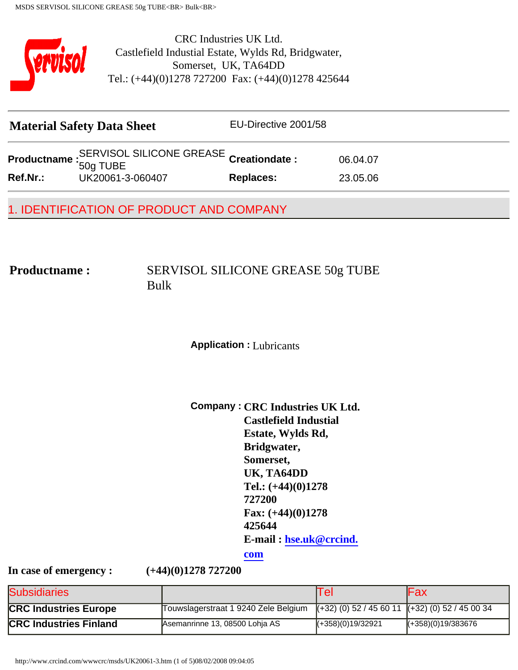

CRC Industries UK Ltd. Castlefield Industial Estate, Wylds Rd, Bridgwater, Somerset, UK, TA64DD Tel.: (+44)(0)1278 727200 Fax: (+44)(0)1278 425644

|                 | <b>Material Safety Data Sheet</b>                                 | EU-Directive 2001/58 |          |
|-----------------|-------------------------------------------------------------------|----------------------|----------|
|                 | Productname : SERVISOL SILICONE GREASE Creationdate :<br>50g TUBE |                      | 06.04.07 |
| <b>Ref.Nr.:</b> | UK20061-3-060407                                                  | <b>Replaces:</b>     | 23.05.06 |
|                 |                                                                   |                      |          |

# 1. IDENTIFICATION OF PRODUCT AND COMPANY

# **Productname :** SERVISOL SILICONE GREASE 50g TUBE Bulk

### **Application :** Lubricants

# **Company : CRC Industries UK Ltd. Castlefield Industial Estate, Wylds Rd, Bridgwater, Somerset, UK, TA64DD Tel.: (+44)(0)1278 727200 Fax: (+44)(0)1278 425644 E-mail : [hse.uk@crcind.](mailto:msds@crcind.com)**

**[com](mailto:msds@crcind.com)**

**In case of emergency : (+44)(0)1278 727200**

| <b>Subsidiaries</b>           |                                      | II el                                                                         | <b>Fax</b>                          |
|-------------------------------|--------------------------------------|-------------------------------------------------------------------------------|-------------------------------------|
| <b>CRC Industries Europe</b>  | Touwslagerstraat 1 9240 Zele Belgium | $\left( +32 \right)$ (0) 52 / 45 60 11 $\left( +32 \right)$ (0) 52 / 45 00 34 |                                     |
| <b>CRC Industries Finland</b> | Asemanrinne 13, 08500 Lohia AS       | $((+358)(0)19/32921)$                                                         | $\left[ (+358)(0)19/383676 \right]$ |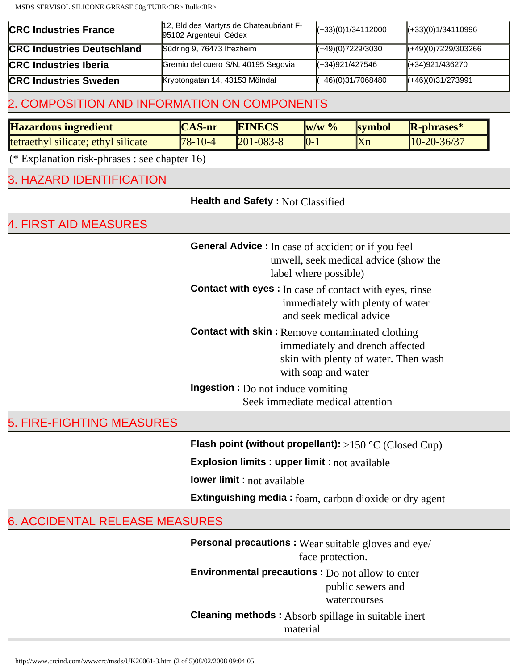MSDS SERVISOL SILICONE GREASE 50g TUBE<BR> Bulk<br/><BR>  $\,$ 

| <b>CRC Industries France</b>      | 12, Bld des Martyrs de Chateaubriant F-<br>95102 Argenteuil Cédex | $(+33)(0)1/34112000$ | $(+33)(0)1/34110996$  |
|-----------------------------------|-------------------------------------------------------------------|----------------------|-----------------------|
| <b>CRC Industries Deutschland</b> | Südring 9, 76473 Iffezheim                                        | $(+49)(0)7229/3030$  | $(+49)(0)7229/303266$ |
| <b>CRC Industries Iberia</b>      | Gremio del cuero S/N, 40195 Segovia                               | $( +34)921/427546$   | $(+34)921/436270$     |
| <b>CRC Industries Sweden</b>      | Kryptongatan 14, 43153 Mölndal                                    | $(+46)(0)31/7068480$ | $(+46)(0)31/273991$   |

# 2. COMPOSITION AND INFORMATION ON COMPONENTS

| <b>Hazardous ingredient</b>                 | <b>CAS-nr</b> | <b>EINECS</b>   | $\frac{1}{W}$ $\frac{6}{W}$ | <b>symbol</b> | <b>R-phrases*</b> |
|---------------------------------------------|---------------|-----------------|-----------------------------|---------------|-------------------|
| <b>Itetraethyl silicate; ethyl silicate</b> | $78 - 10 - 4$ | $201 - 083 - 8$ |                             | <b>Xn</b>     | $10-20-36/37$     |

(\* Explanation risk-phrases : see chapter 16)

# 3. HAZARD IDENTIFICATION

**Health and Safety :** Not Classified

4. FIRST AID MEASURES

|                                       | <b>General Advice :</b> In case of accident or if you feel<br>unwell, seek medical advice (show the<br>label where possible)                             |
|---------------------------------------|----------------------------------------------------------------------------------------------------------------------------------------------------------|
|                                       | <b>Contact with eyes :</b> In case of contact with eyes, rinse<br>immediately with plenty of water<br>and seek medical advice                            |
|                                       | <b>Contact with skin: Remove contaminated clothing</b><br>immediately and drench affected<br>skin with plenty of water. Then wash<br>with soap and water |
|                                       | <b>Ingestion</b> : Do not induce vomiting<br>Seek immediate medical attention                                                                            |
|                                       |                                                                                                                                                          |
| <b>5. FIRE-FIGHTING MEASURES</b>      |                                                                                                                                                          |
|                                       | Flash point (without propellant): $>150$ °C (Closed Cup)                                                                                                 |
|                                       | <b>Explosion limits : upper limit : not available</b>                                                                                                    |
|                                       | lower limit : not available                                                                                                                              |
|                                       | <b>Extinguishing media:</b> foam, carbon dioxide or dry agent                                                                                            |
| <b>6. ACCIDENTAL RELEASE MEASURES</b> |                                                                                                                                                          |
|                                       | Personal precautions : Wear suitable gloves and eye/<br>face protection.                                                                                 |
|                                       | <b>Environmental precautions :</b> Do not allow to enter<br>public sewers and                                                                            |

watercourses

**Cleaning methods :** Absorb spillage in suitable inert material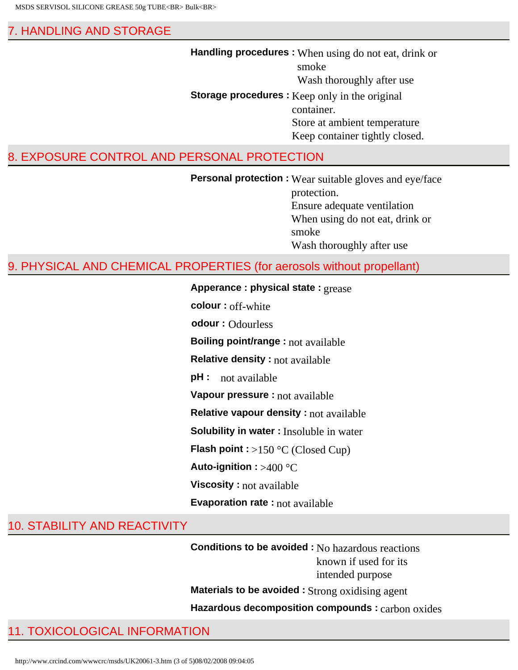### 7. HANDLING AND STORAGE

**Handling procedures :** When using do not eat, drink or smoke Wash thoroughly after use **Storage procedures :** Keep only in the original container. Store at ambient temperature Keep container tightly closed.

# 8. EXPOSURE CONTROL AND PERSONAL PROTECTION

**Personal protection :** Wear suitable gloves and eye/face protection. Ensure adequate ventilation When using do not eat, drink or smoke Wash thoroughly after use

### 9. PHYSICAL AND CHEMICAL PROPERTIES (for aerosols without propellant)

#### **Apperance : physical state :** grease

**colour :** off-white

**odour :** Odourless

**Boiling point/range :** not available

**Relative density :** not available

**pH :** not available

**Vapour pressure :** not available

**Relative vapour density :** not available

**Solubility in water :** Insoluble in water

**Flash point :** >150 °C (Closed Cup)

**Auto-ignition :** >400 °C

**Viscosity :** not available

**Evaporation rate :** not available

#### 10. STABILITY AND REACTIVITY

**Conditions to be avoided :** No hazardous reactions known if used for its intended purpose

**Materials to be avoided :** Strong oxidising agent

**Hazardous decomposition compounds :** carbon oxides

# 11. TOXICOLOGICAL INFORMATION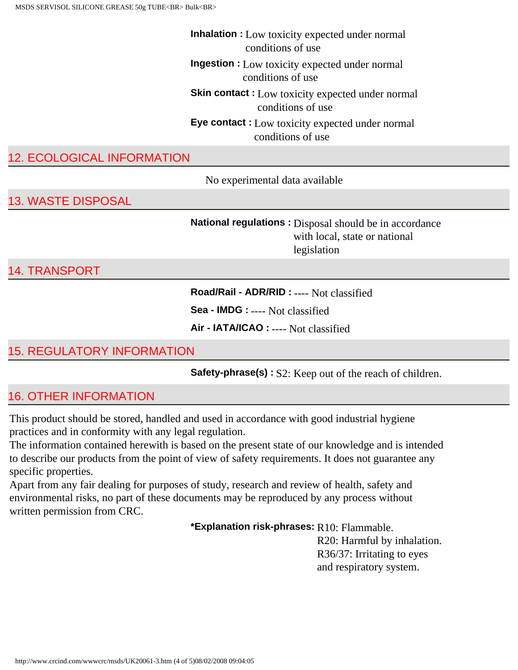**Inhalation :** Low toxicity expected under normal conditions of use **Ingestion :** Low toxicity expected under normal conditions of use **Skin contact :** Low toxicity expected under normal conditions of use **Eye contact :** Low toxicity expected under normal conditions of use

# 12. ECOLOGICAL INFORMATION

No experimental data available

### 13. WASTE DISPOSAL

**National regulations :** Disposal should be in accordance with local, state or national legislation

14. TRANSPORT

**Road/Rail - ADR/RID :** ---- Not classified

**Sea - IMDG :** ---- Not classified

**Air - IATA/ICAO :** ---- Not classified

# 15. REGULATORY INFORMATION

**Safety-phrase(s) :** S2: Keep out of the reach of children.

# 16. OTHER INFORMATION

This product should be stored, handled and used in accordance with good industrial hygiene practices and in conformity with any legal regulation.

The information contained herewith is based on the present state of our knowledge and is intended to describe our products from the point of view of safety requirements. It does not guarantee any specific properties.

Apart from any fair dealing for purposes of study, research and review of health, safety and environmental risks, no part of these documents may be reproduced by any process without written permission from CRC.

**\*Explanation risk-phrases:** R10: Flammable.

R20: Harmful by inhalation. R36/37: Irritating to eyes and respiratory system.